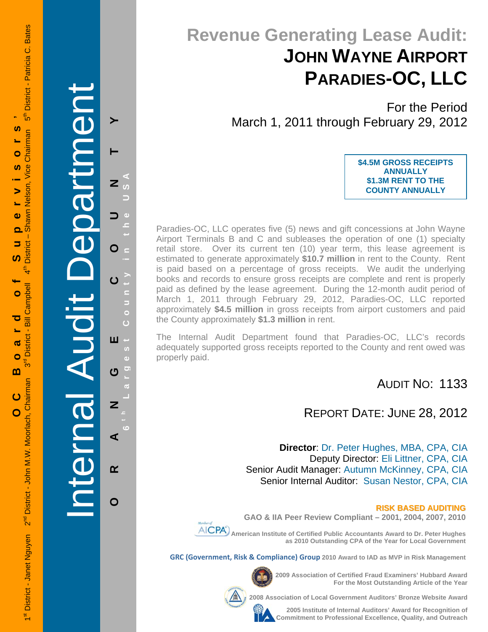**Tenne Aught** Internal Audit De epartment

**ORANGE COUNTY 6 t h Lar**

Ш

U

Z

 $\alpha$ 

O

**g**

 $\overline{a}$ ⋖

**est Count**

Ġ

 $\bullet$ 

**y in the USA** 

 $\sigma$ 

 $\mathbf{z}$ 

O

# **Revenue Generating Lease Audit: JOHN WAYNE AIRPORT PARADIES-OC, LLC**

For the Period March 1, 2011 through February 29, 2012

> **\$4.5M GROSS RECEIPTS ANNUALLY \$1.3M RENT TO THE COUNTY ANNUALLY**

Paradies-OC, LLC operates five (5) news and gift concessions at John Wayne Airport Terminals B and C and subleases the operation of one (1) specialty retail store. Over its current ten (10) year term, this lease agreement is estimated to generate approximately **\$10.7 million** in rent to the County. Rent is paid based on a percentage of gross receipts. We audit the underlying books and records to ensure gross receipts are complete and rent is properly paid as defined by the lease agreement. During the 12-month audit period of March 1, 2011 through February 29, 2012, Paradies-OC, LLC reported approximately **\$4.5 million** in gross receipts from airport customers and paid the County approximately **\$1.3 million** in rent.

The Internal Audit Department found that Paradies-OC, LLC's records adequately supported gross receipts reported to the County and rent owed was properly paid.

AUDIT NO: 1133

### REPORT DATE: JUNE 28, 2012

**Director**: Dr. Peter Hughes, MBA, CPA, CIA Deputy Director: Eli Littner, CPA, CIA Senior Audit Manager: Autumn McKinney, CPA, CIA Senior Internal Auditor: Susan Nestor, CPA, CIA



**GAO & IIA Peer Review Compliant – 2001, 2004, 2007, 2010** 

 **American Institute of Certified Public Accountants Award to Dr. Peter Hughes as 2010 Outstanding CPA of the Year for Local Government** 

**GRC (Government, Risk & Compliance) Group 2010 Award to IAD as MVP in Risk Management** 

**2009 Association of Certified Fraud Examiners' Hubbard Award For the Most Outstanding Article of the Year** 

**Professional Excellence and Auditors Professional Auditors Bronze Website Award** 



**2005 Institute of Internal Auditors' Award for Recognition of Commitment to Professional Excellence, Quality, and Outreach**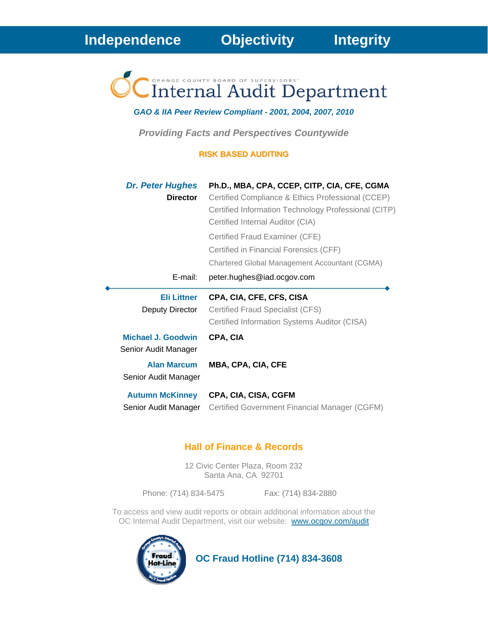Internal Audit Department

*GAO & IIA Peer Review Compliant - 2001, 2004, 2007, 2010* 

*Providing Facts and Perspectives Countywide* 

#### **RISK BASED AUDITING**

| <b>Dr. Peter Hughes</b><br><b>Director</b> | Ph.D., MBA, CPA, CCEP, CITP, CIA, CFE, CGMA<br>Certified Compliance & Ethics Professional (CCEP)<br>Certified Information Technology Professional (CITP)<br>Certified Internal Auditor (CIA) |
|--------------------------------------------|----------------------------------------------------------------------------------------------------------------------------------------------------------------------------------------------|
|                                            | Certified Fraud Examiner (CFE)<br>Certified in Financial Forensics (CFF)                                                                                                                     |
|                                            | Chartered Global Management Accountant (CGMA)                                                                                                                                                |
| E-mail:                                    | peter.hughes@iad.ocgov.com                                                                                                                                                                   |
| <b>Eli Littner</b>                         | CPA, CIA, CFE, CFS, CISA                                                                                                                                                                     |
| Deputy Director                            | Certified Fraud Specialist (CFS)<br>Certified Information Systems Auditor (CISA)                                                                                                             |
| Michael J. Goodwin<br>Senior Audit Manager | CPA, CIA                                                                                                                                                                                     |
| <b>Alan Marcum</b><br>Senior Audit Manager | <b>MBA, CPA, CIA, CFE</b>                                                                                                                                                                    |

#### **Hall of Finance & Records**

12 Civic Center Plaza, Room 232 Santa Ana, CA 92701

Phone: (714) 834-5475 Fax: (714) 834-2880

To access and view audit reports or obtain additional information about the OC Internal Audit Department, visit our website: www.ocgov.com/audit



 **OC Fraud Hotline (714) 834-3608**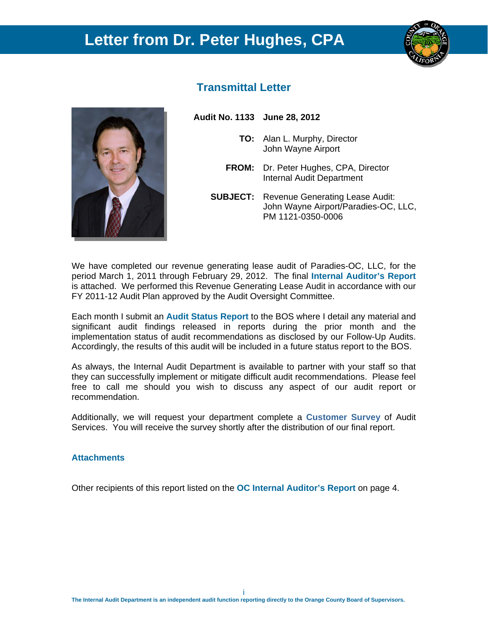### **Letter from Dr. Peter Hughes, CPA**





#### **Transmittal Letter**

**Audit No. 1133 June 28, 2012** 

- **TO:** Alan L. Murphy, Director John Wayne Airport
- **FROM:** Dr. Peter Hughes, CPA, Director Internal Audit Department
- **SUBJECT:** Revenue Generating Lease Audit: John Wayne Airport/Paradies-OC, LLC, PM 1121-0350-0006

We have completed our revenue generating lease audit of Paradies-OC, LLC, for the period March 1, 2011 through February 29, 2012. The final **Internal Auditor's Report** is attached. We performed this Revenue Generating Lease Audit in accordance with our FY 2011-12 Audit Plan approved by the Audit Oversight Committee.

Each month I submit an **Audit Status Report** to the BOS where I detail any material and significant audit findings released in reports during the prior month and the implementation status of audit recommendations as disclosed by our Follow-Up Audits. Accordingly, the results of this audit will be included in a future status report to the BOS.

As always, the Internal Audit Department is available to partner with your staff so that they can successfully implement or mitigate difficult audit recommendations. Please feel free to call me should you wish to discuss any aspect of our audit report or recommendation.

Additionally, we will request your department complete a **Customer Survey** of Audit Services. You will receive the survey shortly after the distribution of our final report.

#### **Attachments**

Other recipients of this report listed on the **OC Internal Auditor's Report** on page 4.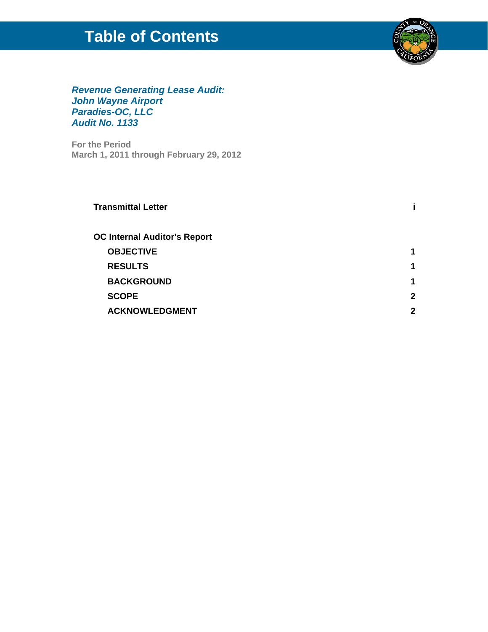## **Table of Contents**



#### *Revenue Generating Lease Audit: John Wayne Airport Paradies-OC, LLC Audit No. 1133*

**For the Period March 1, 2011 through February 29, 2012** 

| <b>Transmittal Letter</b>           |   |
|-------------------------------------|---|
| <b>OC Internal Auditor's Report</b> |   |
| <b>OBJECTIVE</b>                    |   |
| <b>RESULTS</b>                      | 1 |
| <b>BACKGROUND</b>                   | 1 |
| <b>SCOPE</b>                        | 2 |
| <b>ACKNOWLEDGMENT</b>               | 2 |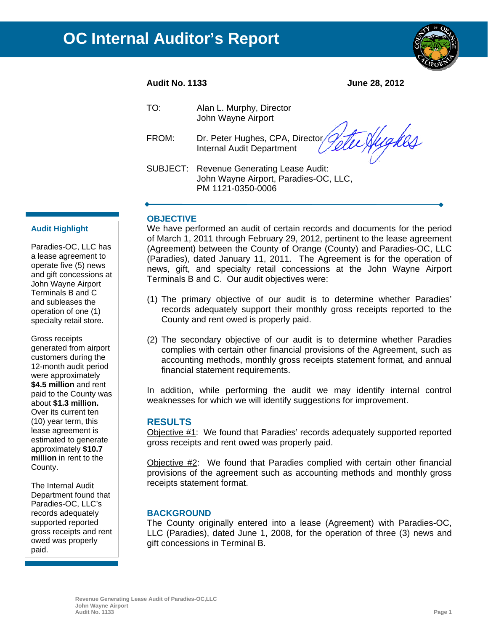

#### **Audit No. 1133 June 28, 2012**

tu Higkes

| TO: | Alan L. Murphy, Director |
|-----|--------------------------|
|     | John Wayne Airport       |

FROM: Dr. Peter Hughes, CPA, Director/ Internal Audit Department

SUBJECT: Revenue Generating Lease Audit: John Wayne Airport, Paradies-OC, LLC, PM 1121-0350-0006

#### **OBJECTIVE**

We have performed an audit of certain records and documents for the period of March 1, 2011 through February 29, 2012, pertinent to the lease agreement (Agreement) between the County of Orange (County) and Paradies-OC, LLC (Paradies), dated January 11, 2011. The Agreement is for the operation of news, gift, and specialty retail concessions at the John Wayne Airport Terminals B and C. Our audit objectives were:

- (1) The primary objective of our audit is to determine whether Paradies' records adequately support their monthly gross receipts reported to the County and rent owed is properly paid.
- (2) The secondary objective of our audit is to determine whether Paradies complies with certain other financial provisions of the Agreement, such as accounting methods, monthly gross receipts statement format, and annual financial statement requirements.

In addition, while performing the audit we may identify internal control weaknesses for which we will identify suggestions for improvement.

#### **RESULTS**

Objective #1: We found that Paradies' records adequately supported reported gross receipts and rent owed was properly paid.

Objective #2: We found that Paradies complied with certain other financial provisions of the agreement such as accounting methods and monthly gross receipts statement format.

#### **BACKGROUND**

The County originally entered into a lease (Agreement) with Paradies-OC, LLC (Paradies), dated June 1, 2008, for the operation of three (3) news and gift concessions in Terminal B.

#### Terminals B and C Paradies-OC, LLC has a lease agreement to operate five (5) news and gift concessions at John Wayne Airport and subleases the operation of one (1) specialty retail store.

**Audit Highlight** 

Gross receipts generated from airport customers during the 12-month audit period were approximately **\$4.5 million** and rent paid to the County was about **\$1.3 million.**  Over its current ten (10) year term, this lease agreement is estimated to generate approximately **\$10.7 million** in rent to the County.

The Internal Audit Department found that Paradies-OC, LLC's records adequately supported reported gross receipts and rent owed was properly paid.